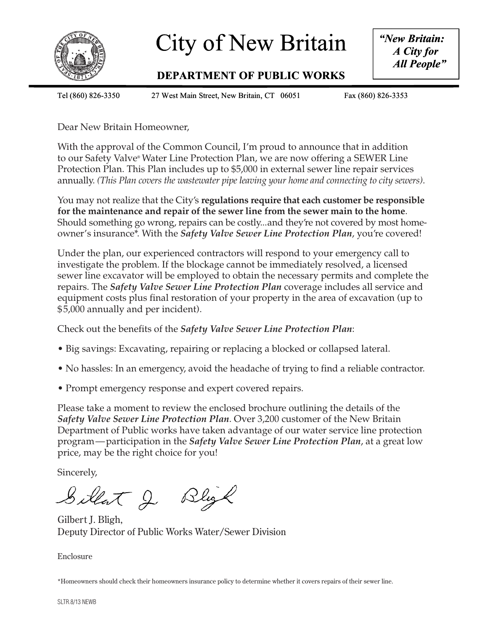

# City of New Britain | "New

### **DEPARTMENT OF PUBLIC WORKS DEPART TMENT OF PUBLIC C WORKS**

*"New Britain: A City for City All People" All*

Tel (860) 826

Tel (860) 826-3350 27 West Main Street, New Britain, CT 06051 Fax (860) 826-3353

Fax (860) 826-3353

Dear New Britain Homeowner,

With the approval of the Common Council, I'm proud to announce that in addition to our Safety Valve® Water Line Protection Plan, we are now offering a SEWER Line Protection Plan. This Plan includes up to \$5,000 in external sewer line repair services annually. *(This Plan covers the wastewater pipe leaving your home and connecting to city sewers)*.

You may not realize that the City's **regulations require that each customer be responsible for the maintenance and repair of the sewer line from the sewer main to the home**. Should something go wrong, repairs can be costly...and they're not covered by most homeowner's insurance\*. With the *Safety Valve Sewer Line Protection Plan*, you're covered!

Under the plan, our experienced contractors will respond to your emergency call to investigate the problem. If the blockage cannot be immediately resolved, a licensed sewer line excavator will be employed to obtain the necessary permits and complete the repairs. The *Safety Valve Sewer Line Protection Plan* coverage includes all service and equipment costs plus final restoration of your property in the area of excavation (up to \$5,000 annually and per incident).

Check out the benefits of the *Safety Valve Sewer Line Protection Plan*:

- Big savings: Excavating, repairing or replacing a blocked or collapsed lateral.
- No hassles: In an emergency, avoid the headache of trying to find a reliable contractor.
- Prompt emergency response and expert covered repairs.

Please take a moment to review the enclosed brochure outlining the details of the *Safety Valve Sewer Line Protection Plan*. Over 3,200 customer of the New Britain Department of Public works have taken advantage of our water service line protection program—participation in the *Safety Valve Sewer Line Protection Plan*, at a great low price, may be the right choice for you!

Sincerely,

Sillat J Bligh

Gilbert J. Bligh, Deputy Director of Public Works Water/Sewer Division

Enclosure

\*Homeowners should check their homeowners insurance policy to determine whether it covers repairs of their sewer line.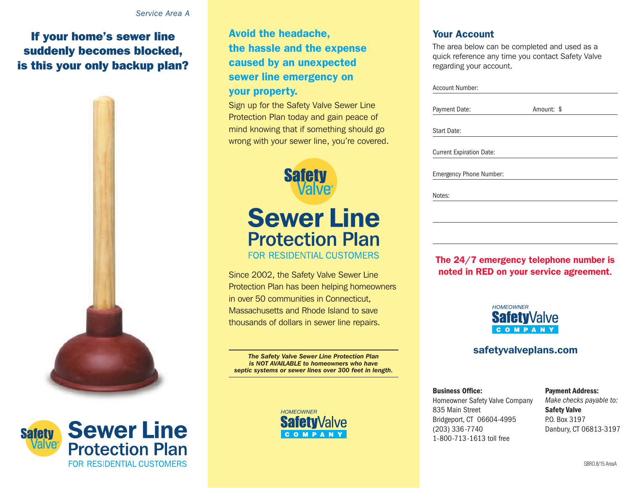### **If your home's sewer line suddenly becomes blocked, is this your only backup plan?**





**Avoid the headache, the hassle and the expense caused by an unexpected sewer line emergency on your property.**

Sign up for the Safety Valve Sewer Line Protection Plan today and gain peace of mind knowing that if something should go wrong with your sewer line, you're covered.



# **Sewer Line Protection Plan FOR RESIDENTIAL CUSTOMERS**

Protection Plan has been helping homeowners in over 50 communities in Connecticut, Massachusetts and Rhode Island to save thousands of dollars in sewer line repairs.

*The Safety Valve Sewer Line Protection Plan is NOT AVAILABLE to homeowners who have septic systems or sewer lines over 300 feet in length.*



### **Your Account**

The area below can be completed and used as a quick reference any time you contact Safety Valve regarding your account.

| <b>Account Number:</b>          |            |  |
|---------------------------------|------------|--|
| Payment Date:                   | Amount: \$ |  |
| <b>Start Date:</b>              |            |  |
| <b>Current Expiration Date:</b> |            |  |
| <b>Emergency Phone Number:</b>  |            |  |
|                                 |            |  |
| Notes:                          |            |  |
|                                 |            |  |

### **The 24/7 emergency telephone number is Since 2002, the Safety Valve Sewer Line inclusion in the MED** on your service agreement.



### **safetyvalveplans.com**

#### **Business Office:** Homeowner Safety Valve Company 835 Main Street Bridgeport, CT 06604-4995 (203) 336-7740 1-800-713-1613 toll free

#### **Payment Address:** *Make checks payable to:* **Safety Valve** P.O. Box 3197 Danbury, CT 06813-3197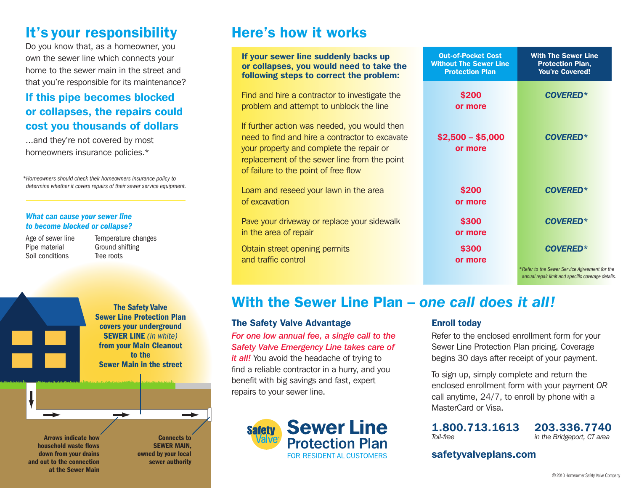# **It's your responsibility**

Do you know that, as a homeowner, you own the sewer line which connects your home to the sewer main in the street and that you're responsible for its maintenance?

### **If this pipe becomes blocked or collapses, the repairs could cost you thousands of dollars**

...and they're not covered by most homeowners insurance policies.\*

*\*Homeowners should check their homeowners insurance policy to determine whether it covers repairs of their sewer service equipment.*

#### *What can cause your sewer line to become blocked or collapse?*

Age of sewer line Pipe material Soil conditions

Temperature changes Ground shifting Tree roots

**The Safety Valve Sewer Line Protection Plan covers your underground SEWER LINE** *(in white)* **from your Main Cleanout to the Sewer Main in the street**

**Arrows indicate how household waste flows down from your drains and out to the connection at the Sewer Main**

**Connects to SEWER MAIN, owned by your local sewer authority**

# **Here's how it works**

| If your sewer line suddenly backs up<br>or collapses, you would need to take the<br>following steps to correct the problem:                                                                                                        | <b>Out-of-Pocket Cost</b><br><b>Without The Sewer Line</b><br><b>Protection Plan</b> | <b>With The Sewer Line</b><br><b>Protection Plan,</b><br><b>You're Covered!</b> |
|------------------------------------------------------------------------------------------------------------------------------------------------------------------------------------------------------------------------------------|--------------------------------------------------------------------------------------|---------------------------------------------------------------------------------|
| Find and hire a contractor to investigate the<br>problem and attempt to unblock the line                                                                                                                                           | \$200<br>or more                                                                     | <b>COVERED*</b>                                                                 |
| If further action was needed, you would then<br>need to find and hire a contractor to excavate<br>your property and complete the repair or<br>replacement of the sewer line from the point<br>of failure to the point of free flow | $$2,500 - $5,000$<br>or more                                                         | <b>COVERED*</b>                                                                 |
| Loam and reseed your lawn in the area<br>of excavation                                                                                                                                                                             | \$200<br>or more                                                                     | <b>COVERED*</b>                                                                 |
| Pave your driveway or replace your sidewalk<br>in the area of repair                                                                                                                                                               | \$300<br>or more                                                                     | <b>COVERED*</b>                                                                 |
| Obtain street opening permits<br>and traffic control                                                                                                                                                                               | \$300<br>or more                                                                     | <b>COVERED*</b><br>*Refer to the Sewer Service Agreement for the                |
|                                                                                                                                                                                                                                    |                                                                                      | annual repair limit and specific coverage details.                              |

## **With the Sewer Line Plan –** *one call does it all!*

### **The Safety Valve Advantage**

*For one low annual fee, a single call to the Safety Valve Emergency Line takes care of it all!* You avoid the headache of trying to find a reliable contractor in a hurry, and you benefit with big savings and fast, expert repairs to your sewer line.



### **Enroll today**

Refer to the enclosed enrollment form for your Sewer Line Protection Plan pricing. Coverage begins 30 days after receipt of your payment.

To sign up, simply complete and return the enclosed enrollment form with your payment *OR* call anytime, 24/7, to enroll by phone with a MasterCard or Visa.

**1.800.713.1613 203.336.7740**<br>*Ioll-free in the Bridgeport. CT area*  $int$ *fin the Bridgeport, CT* area

**safetyvalveplans.com**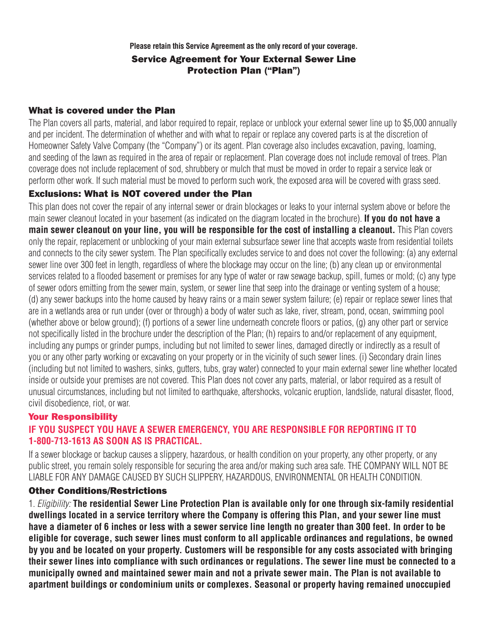**Please retain this Service Agreement as the only record of your coverage.**

### **Service Agreement for Your External Sewer Line Protection Plan ("Plan")**

### **What is covered under the Plan**

The Plan covers all parts, material, and labor required to repair, replace or unblock your external sewer line up to \$5,000 annually and per incident. The determination of whether and with what to repair or replace any covered parts is at the discretion of Homeowner Safety Valve Company (the "Company") or its agent. Plan coverage also includes excavation, paving, loaming, and seeding of the lawn as required in the area of repair or replacement. Plan coverage does not include removal of trees. Plan coverage does not include replacement of sod, shrubbery or mulch that must be moved in order to repair a service leak or perform other work. If such material must be moved to perform such work, the exposed area will be covered with grass seed.

### **Exclusions: What is NOT covered under the Plan**

This plan does not cover the repair of any internal sewer or drain blockages or leaks to your internal system above or before the main sewer cleanout located in your basement (as indicated on the diagram located in the brochure). **If you do not have a** main sewer cleanout on your line, you will be responsible for the cost of installing a cleanout. This Plan covers only the repair, replacement or unblocking of your main external subsurface sewer line that accepts waste from residential toilets and connects to the city sewer system. The Plan specifically excludes service to and does not cover the following: (a) any external sewer line over 300 feet in length, regardless of where the blockage may occur on the line; (b) any clean up or environmental services related to a flooded basement or premises for any type of water or raw sewage backup, spill, fumes or mold; (c) any type of sewer odors emitting from the sewer main, system, or sewer line that seep into the drainage or venting system of a house; (d) any sewer backups into the home caused by heavy rains or a main sewer system failure; (e) repair or replace sewer lines that are in a wetlands area or run under (over or through) a body of water such as lake, river, stream, pond, ocean, swimming pool (whether above or below ground); (f) portions of a sewer line underneath concrete floors or patios, (g) any other part or service not specifically listed in the brochure under the description of the Plan; (h) repairs to and/or replacement of any equipment, including any pumps or grinder pumps, including but not limited to sewer lines, damaged directly or indirectly as a result of you or any other party working or excavating on your property or in the vicinity of such sewer lines. (i) Secondary drain lines (including but not limited to washers, sinks, gutters, tubs, gray water) connected to your main external sewer line whether located inside or outside your premises are not covered. This Plan does not cover any parts, material, or labor required as a result of unusual circumstances, including but not limited to earthquake, aftershocks, volcanic eruption, landslide, natural disaster, flood, civil disobedience, riot, or war.

### **Your Responsibility**

### **IF YOU SUSPECT YOU HAVE A SEWER EMERGENCY, YOU ARE RESPONSIBLE FOR REPORTING IT TO 1-800-713-1613 AS SOON AS IS PRACTICAL.**

If a sewer blockage or backup causes a slippery, hazardous, or health condition on your property, any other property, or any public street, you remain solely responsible for securing the area and/or making such area safe. THE COMPANY WILL NOT BE LIABLE FOR ANY DAMAGE CAUSED BY SUCH SLIPPERY, HAZARDOUS, ENVIRONMENTAL OR HEALTH CONDITION.

### **Other Conditions/Restrictions**

1. *Eligibility:* **The residential Sewer Line Protection Plan is available only for one through six-family residential** dwellings located in a service territory where the Company is offering this Plan, and your sewer line must have a diameter of 6 inches or less with a sewer service line length no greater than 300 feet. In order to be **eligible for coverage, such sewer lines must conform to all applicable ordinances and regulations, be owned** by you and be located on your property. Customers will be responsible for any costs associated with bringing their sewer lines into compliance with such ordinances or regulations. The sewer line must be connected to a municipally owned and maintained sewer main and not a private sewer main. The Plan is not available to **apartment buildings or condominium units or complexes. Seasonal or property having remained unoccupied**